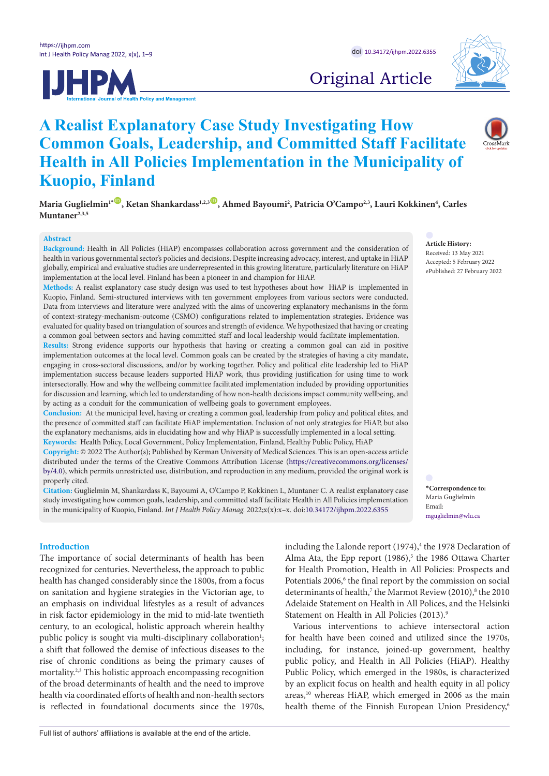



Original Article

# **A Realist Explanatory Case Study Investigating How Common Goals, Leadership, and Committed Staff Facilitate Health in All Policies Implementation in the Municipality of Kuopio, Finland**

Maria Guglielmin'\*®, Ketan Shankardass<sup>1,2,3</sup>®, Ahmed Bayoumi<sup>2</sup>, Patricia O'Campo<sup>2,3</sup>, Lauri Kokkinen<sup>4</sup>, Carles **Muntaner2,3,5**

# **Abstract**

**Background:** Health in All Policies (HiAP) encompasses collaboration across government and the consideration of health in various governmental sector's policies and decisions. Despite increasing advocacy, interest, and uptake in HiAP globally, empirical and evaluative studies are underrepresented in this growing literature, particularly literature on HiAP implementation at the local level. Finland has been a pioneer in and champion for HiAP.

**Methods:** A realist explanatory case study design was used to test hypotheses about how HiAP is implemented in Kuopio, Finland. Semi-structured interviews with ten government employees from various sectors were conducted. Data from interviews and literature were analyzed with the aims of uncovering explanatory mechanisms in the form of context-strategy-mechanism-outcome (CSMO) configurations related to implementation strategies. Evidence was evaluated for quality based on triangulation of sources and strength of evidence. We hypothesized that having or creating a common goal between sectors and having committed staff and local leadership would facilitate implementation.

**Results:** Strong evidence supports our hypothesis that having or creating a common goal can aid in positive implementation outcomes at the local level. Common goals can be created by the strategies of having a city mandate, engaging in cross-sectoral discussions, and/or by working together. Policy and political elite leadership led to HiAP implementation success because leaders supported HiAP work, thus providing justification for using time to work intersectorally. How and why the wellbeing committee facilitated implementation included by providing opportunities for discussion and learning, which led to understanding of how non-health decisions impact community wellbeing, and by acting as a conduit for the communication of wellbeing goals to government employees.

**Conclusion:** At the municipal level, having or creating a common goal, leadership from policy and political elites, and the presence of committed staff can facilitate HiAP implementation. Inclusion of not only strategies for HiAP, but also the explanatory mechanisms, aids in elucidating how and why HiAP is successfully implemented in a local setting. **Keywords:** Health Policy, Local Government, Policy Implementation, Finland, Healthy Public Policy, HiAP

**Copyright:** © 2022 The Author(s); Published by Kerman University of Medical Sciences. This is an open-access article distributed under the terms of the Creative Commons Attribution License [\(https://creativecommons.org/licenses/](https://creativecommons.org/licenses/by/4.0/) [by/4.0\)](https://creativecommons.org/licenses/by/4.0/), which permits unrestricted use, distribution, and reproduction in any medium, provided the original work is properly cited.

**Citation:** Guglielmin M, Shankardass K, Bayoumi A, O'Campo P, Kokkinen L, Muntaner C. A realist explanatory case study investigating how common goals, leadership, and committed staff facilitate Health in All Policies implementation in the municipality of Kuopio, Finland. *Int J Health Policy Manag.* 2022;x(x):x–x. doi[:10.34172/ijhpm.2022.6355](https://doi.org/10.34172/ijhpm.2022.6355)

## **Introduction**

The importance of social determinants of health has been recognized for centuries. Nevertheless, the approach to public health has changed considerably since the 1800s, from a focus on sanitation and hygiene strategies in the Victorian age, to an emphasis on individual lifestyles as a result of advances in risk factor epidemiology in the mid to mid-late twentieth century, to an ecological, holistic approach wherein healthy public policy is sought via multi-disciplinary collaboration<sup>1</sup>; a shift that followed the demise of infectious diseases to the rise of chronic conditions as being the primary causes of mortality.2,3 This holistic approach encompassing recognition of the broad determinants of health and the need to improve health via coordinated efforts of health and non-health sectors is reflected in foundational documents since the 1970s,

**Article History:** Received: 13 May 2021 Accepted: 5 February 2022 ePublished: 27 February 2022

**\*Correspondence to:** Maria Guglielmin Email: mguglielmin@wlu.ca

including the Lalonde report (1974),<sup>4</sup> the 1978 Declaration of Alma Ata, the Epp report (1986),<sup>5</sup> the 1986 Ottawa Charter for Health Promotion, Health in All Policies: Prospects and Potentials 2006,<sup>6</sup> the final report by the commission on social determinants of health,<sup>7</sup> the Marmot Review (2010),<sup>8</sup> the 2010 Adelaide Statement on Health in All Polices, and the Helsinki Statement on Health in All Policies (2013).<sup>9</sup>

Various interventions to achieve intersectoral action for health have been coined and utilized since the 1970s, including, for instance, joined-up government, healthy public policy, and Health in All Policies (HiAP). Healthy Public Policy, which emerged in the 1980s, is characterized by an explicit focus on health and health equity in all policy areas,10 whereas HiAP, which emerged in 2006 as the main health theme of the Finnish European Union Presidency,<sup>6</sup>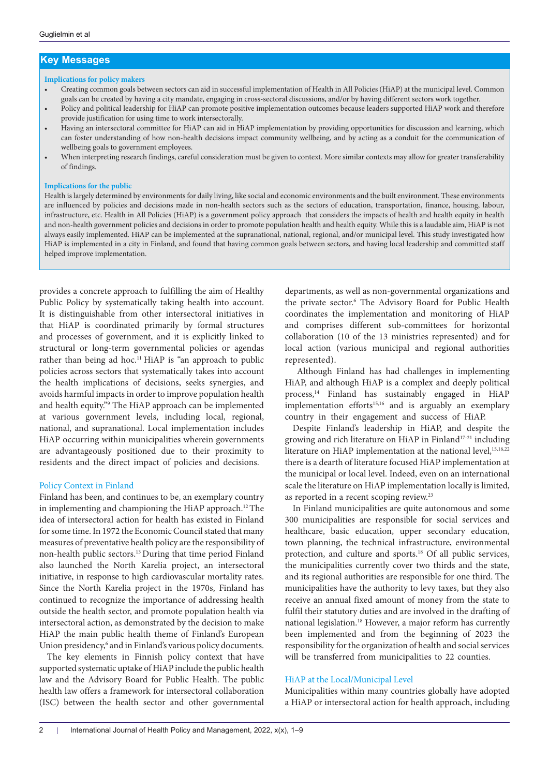# **Key Messages**

### **Implications for policy makers**

- Creating common goals between sectors can aid in successful implementation of Health in All Policies (HiAP) at the municipal level. Common goals can be created by having a city mandate, engaging in cross-sectoral discussions, and/or by having different sectors work together.
- Policy and political leadership for HiAP can promote positive implementation outcomes because leaders supported HiAP work and therefore provide justification for using time to work intersectorally.
- Having an intersectoral committee for HiAP can aid in HiAP implementation by providing opportunities for discussion and learning, which can foster understanding of how non-health decisions impact community wellbeing, and by acting as a conduit for the communication of wellbeing goals to government employees.
- When interpreting research findings, careful consideration must be given to context. More similar contexts may allow for greater transferability of findings.

#### **Implications for the public**

Health is largely determined by environments for daily living, like social and economic environments and the built environment. These environments are influenced by policies and decisions made in non-health sectors such as the sectors of education, transportation, finance, housing, labour, infrastructure, etc. Health in All Policies (HiAP) is a government policy approach that considers the impacts of health and health equity in health and non-health government policies and decisions in order to promote population health and health equity. While this is a laudable aim, HiAP is not always easily implemented. HiAP can be implemented at the supranational, national, regional, and/or municipal level. This study investigated how HiAP is implemented in a city in Finland, and found that having common goals between sectors, and having local leadership and committed staff helped improve implementation.

provides a concrete approach to fulfilling the aim of Healthy Public Policy by systematically taking health into account. It is distinguishable from other intersectoral initiatives in that HiAP is coordinated primarily by formal structures and processes of government, and it is explicitly linked to structural or long-term governmental policies or agendas rather than being ad hoc.<sup>11</sup> HiAP is "an approach to public policies across sectors that systematically takes into account the health implications of decisions, seeks synergies, and avoids harmful impacts in order to improve population health and health equity."9 The HiAP approach can be implemented at various government levels, including local, regional, national, and supranational. Local implementation includes HiAP occurring within municipalities wherein governments are advantageously positioned due to their proximity to residents and the direct impact of policies and decisions.

#### Policy Context in Finland

Finland has been, and continues to be, an exemplary country in implementing and championing the HiAP approach.<sup>12</sup> The idea of intersectoral action for health has existed in Finland for some time. In 1972 the Economic Council stated that many measures of preventative health policy are the responsibility of non-health public sectors.13 During that time period Finland also launched the North Karelia project, an intersectoral initiative, in response to high cardiovascular mortality rates. Since the North Karelia project in the 1970s, Finland has continued to recognize the importance of addressing health outside the health sector, and promote population health via intersectoral action, as demonstrated by the decision to make HiAP the main public health theme of Finland's European Union presidency,<sup>6</sup> and in Finland's various policy documents.

The key elements in Finnish policy context that have supported systematic uptake of HiAP include the public health law and the Advisory Board for Public Health. The public health law offers a framework for intersectoral collaboration (ISC) between the health sector and other governmental

departments, as well as non-governmental organizations and the private sector.6 The Advisory Board for Public Health coordinates the implementation and monitoring of HiAP and comprises different sub-committees for horizontal collaboration (10 of the 13 ministries represented) and for local action (various municipal and regional authorities represented).

 Although Finland has had challenges in implementing HiAP, and although HiAP is a complex and deeply political process,<sup>14</sup> Finland has sustainably engaged in HiAP implementation efforts<sup>15,16</sup> and is arguably an exemplary country in their engagement and success of HiAP.

Despite Finland's leadership in HiAP, and despite the growing and rich literature on HiAP in Finland<sup>17-21</sup> including literature on HiAP implementation at the national level,<sup>15,16,22</sup> there is a dearth of literature focused HiAP implementation at the municipal or local level. Indeed, even on an international scale the literature on HiAP implementation locally is limited, as reported in a recent scoping review.<sup>23</sup>

In Finland municipalities are quite autonomous and some 300 municipalities are responsible for social services and healthcare, basic education, upper secondary education, town planning, the technical infrastructure, environmental protection, and culture and sports.18 Of all public services, the municipalities currently cover two thirds and the state, and its regional authorities are responsible for one third. The municipalities have the authority to levy taxes, but they also receive an annual fixed amount of money from the state to fulfil their statutory duties and are involved in the drafting of national legislation.18 However, a major reform has currently been implemented and from the beginning of 2023 the responsibility for the organization of health and social services will be transferred from municipalities to 22 counties.

### HiAP at the Local/Municipal Level

Municipalities within many countries globally have adopted a HiAP or intersectoral action for health approach, including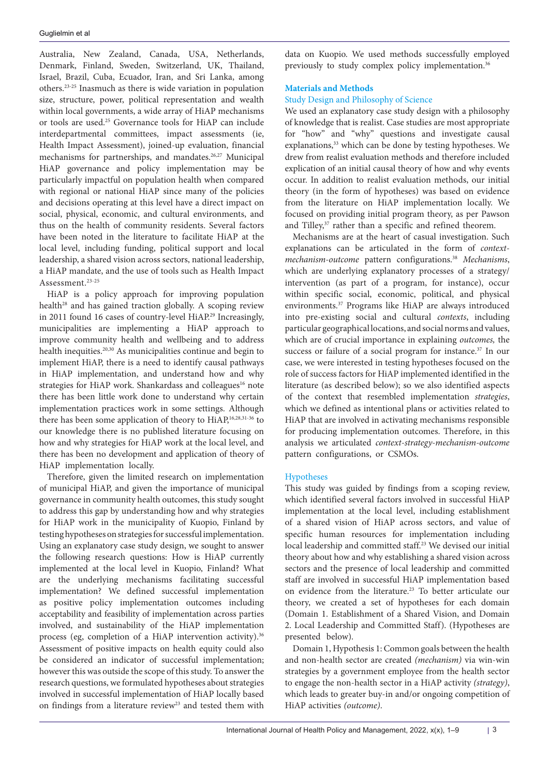Australia, New Zealand, Canada, USA, Netherlands, Denmark, Finland, Sweden, Switzerland, UK, Thailand, Israel, Brazil, Cuba, Ecuador, Iran, and Sri Lanka, among others.23-25 Inasmuch as there is wide variation in population size, structure, power, political representation and wealth within local governments, a wide array of HiAP mechanisms or tools are used.25 Governance tools for HiAP can include interdepartmental committees, impact assessments (ie, Health Impact Assessment), joined-up evaluation, financial mechanisms for partnerships, and mandates.<sup>26,27</sup> Municipal HiAP governance and policy implementation may be particularly impactful on population health when compared with regional or national HiAP since many of the policies and decisions operating at this level have a direct impact on social, physical, economic, and cultural environments, and thus on the health of community residents. Several factors have been noted in the literature to facilitate HiAP at the local level, including funding, political support and local leadership, a shared vision across sectors, national leadership, a HiAP mandate, and the use of tools such as Health Impact Assessment.<sup>23-25</sup>

HiAP is a policy approach for improving population health<sup>28</sup> and has gained traction globally. A scoping review in 2011 found 16 cases of country-level HiAP.<sup>29</sup> Increasingly, municipalities are implementing a HiAP approach to improve community health and wellbeing and to address health inequities.20,30 As municipalities continue and begin to implement HiAP, there is a need to identify causal pathways in HiAP implementation, and understand how and why strategies for HiAP work. Shankardass and colleagues<sup>16</sup> note there has been little work done to understand why certain implementation practices work in some settings. Although there has been some application of theory to HiAP,16,28,31-36 to our knowledge there is no published literature focusing on how and why strategies for HiAP work at the local level, and there has been no development and application of theory of HiAP implementation locally.

Therefore, given the limited research on implementation of municipal HiAP, and given the importance of municipal governance in community health outcomes, this study sought to address this gap by understanding how and why strategies for HiAP work in the municipality of Kuopio, Finland by testing hypotheses on strategies for successful implementation. Using an explanatory case study design, we sought to answer the following research questions: How is HiAP currently implemented at the local level in Kuopio, Finland? What are the underlying mechanisms facilitating successful implementation? We defined successful implementation as positive policy implementation outcomes including acceptability and feasibility of implementation across parties involved, and sustainability of the HiAP implementation process (eg, completion of a HiAP intervention activity).<sup>36</sup> Assessment of positive impacts on health equity could also be considered an indicator of successful implementation; however this was outside the scope of this study. To answer the research questions, we formulated hypotheses about strategies involved in successful implementation of HiAP locally based on findings from a literature review<sup>23</sup> and tested them with

data on Kuopio. We used methods successfully employed previously to study complex policy implementation.<sup>36</sup>

# **Materials and Methods**

# Study Design and Philosophy of Science

We used an explanatory case study design with a philosophy of knowledge that is realist. Case studies are most appropriate for "how" and "why" questions and investigate causal explanations,<sup>33</sup> which can be done by testing hypotheses. We drew from realist evaluation methods and therefore included explication of an initial causal theory of how and why events occur. In addition to realist evaluation methods, our initial theory (in the form of hypotheses) was based on evidence from the literature on HiAP implementation locally. We focused on providing initial program theory, as per Pawson and Tilley,<sup>37</sup> rather than a specific and refined theorem.

Mechanisms are at the heart of casual investigation. Such explanations can be articulated in the form of *contextmechanism-outcome* pattern configurations.38 *Mechanisms*, which are underlying explanatory processes of a strategy/ intervention (as part of a program, for instance), occur within specific social, economic, political, and physical environments.37 Programs like HiAP are always introduced into pre-existing social and cultural *contexts*, including particular geographical locations, and social norms and values, which are of crucial importance in explaining *outcomes,* the success or failure of a social program for instance.<sup>37</sup> In our case, we were interested in testing hypotheses focused on the role of success factors for HiAP implemented identified in the literature (as described below); so we also identified aspects of the context that resembled implementation *strategies*, which we defined as intentional plans or activities related to HiAP that are involved in activating mechanisms responsible for producing implementation outcomes. Therefore, in this analysis we articulated *context-strategy-mechanism-outcome* pattern configurations, or CSMOs.

## Hypotheses

This study was guided by findings from a scoping review, which identified several factors involved in successful HiAP implementation at the local level, including establishment of a shared vision of HiAP across sectors, and value of specific human resources for implementation including local leadership and committed staff.<sup>23</sup> We devised our initial theory about how and why establishing a shared vision across sectors and the presence of local leadership and committed staff are involved in successful HiAP implementation based on evidence from the literature.23 To better articulate our theory, we created a set of hypotheses for each domain (Domain 1. Establishment of a Shared Vision, and Domain 2. Local Leadership and Committed Staff). (Hypotheses are presented below).

Domain 1, Hypothesis 1: Common goals between the health and non-health sector are created *(mechanism)* via win-win strategies by a government employee from the health sector to engage the non-health sector in a HiAP activity *(strategy)*, which leads to greater buy-in and/or ongoing competition of HiAP activities *(outcome)*.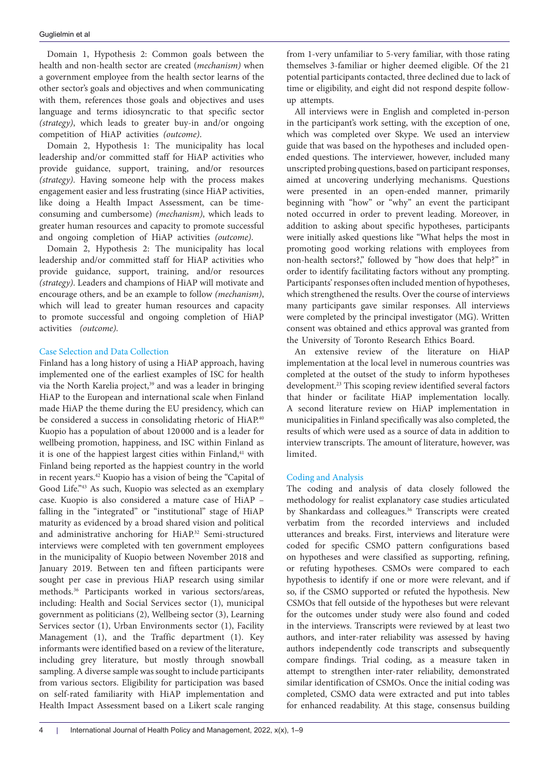Domain 1, Hypothesis 2: Common goals between the health and non-health sector are created (*mechanism)* when a government employee from the health sector learns of the other sector's goals and objectives and when communicating with them, references those goals and objectives and uses language and terms idiosyncratic to that specific sector *(strategy)*, which leads to greater buy-in and/or ongoing competition of HiAP activities *(outcome)*.

Domain 2, Hypothesis 1: The municipality has local leadership and/or committed staff for HiAP activities who provide guidance, support, training, and/or resources *(strategy)*. Having someone help with the process makes engagement easier and less frustrating (since HiAP activities, like doing a Health Impact Assessment, can be timeconsuming and cumbersome) *(mechanism)*, which leads to greater human resources and capacity to promote successful and ongoing completion of HiAP activities *(outcome)*.

Domain 2, Hypothesis 2: The municipality has local leadership and/or committed staff for HiAP activities who provide guidance, support, training, and/or resources *(strategy)*. Leaders and champions of HiAP will motivate and encourage others, and be an example to follow *(mechanism)*, which will lead to greater human resources and capacity to promote successful and ongoing completion of HiAP activities *(outcome)*.

## Case Selection and Data Collection

Finland has a long history of using a HiAP approach, having implemented one of the earliest examples of ISC for health via the North Karelia project,<sup>39</sup> and was a leader in bringing HiAP to the European and international scale when Finland made HiAP the theme during the EU presidency, which can be considered a success in consolidating rhetoric of HiAP.<sup>40</sup> Kuopio has a population of about 120 000 and is a leader for wellbeing promotion, happiness, and ISC within Finland as it is one of the happiest largest cities within Finland,<sup>41</sup> with Finland being reported as the happiest country in the world in recent years.42 Kuopio has a vision of being the "Capital of Good Life."43 As such, Kuopio was selected as an exemplary case. Kuopio is also considered a mature case of HiAP – falling in the "integrated" or "institutional" stage of HiAP maturity as evidenced by a broad shared vision and political and administrative anchoring for HiAP.<sup>32</sup> Semi-structured interviews were completed with ten government employees in the municipality of Kuopio between November 2018 and January 2019. Between ten and fifteen participants were sought per case in previous HiAP research using similar methods.36 Participants worked in various sectors/areas, including: Health and Social Services sector (1), municipal government as politicians (2), Wellbeing sector (3), Learning Services sector (1), Urban Environments sector (1), Facility Management (1), and the Traffic department (1). Key informants were identified based on a review of the literature, including grey literature, but mostly through snowball sampling. A diverse sample was sought to include participants from various sectors. Eligibility for participation was based on self-rated familiarity with HiAP implementation and Health Impact Assessment based on a Likert scale ranging

from 1-very unfamiliar to 5-very familiar, with those rating themselves 3-familiar or higher deemed eligible. Of the 21 potential participants contacted, three declined due to lack of time or eligibility, and eight did not respond despite followup attempts.

All interviews were in English and completed in-person in the participant's work setting, with the exception of one, which was completed over Skype. We used an interview guide that was based on the hypotheses and included openended questions. The interviewer, however, included many unscripted probing questions, based on participant responses, aimed at uncovering underlying mechanisms. Questions were presented in an open-ended manner, primarily beginning with "how" or "why" an event the participant noted occurred in order to prevent leading. Moreover, in addition to asking about specific hypotheses, participants were initially asked questions like "What helps the most in promoting good working relations with employees from non-health sectors?," followed by "how does that help?" in order to identify facilitating factors without any prompting. Participants' responses often included mention of hypotheses, which strengthened the results. Over the course of interviews many participants gave similar responses. All interviews were completed by the principal investigator (MG). Written consent was obtained and ethics approval was granted from the University of Toronto Research Ethics Board.

An extensive review of the literature on HiAP implementation at the local level in numerous countries was completed at the outset of the study to inform hypotheses development.<sup>23</sup> This scoping review identified several factors that hinder or facilitate HiAP implementation locally. A second literature review on HiAP implementation in municipalities in Finland specifically was also completed, the results of which were used as a source of data in addition to interview transcripts. The amount of literature, however, was limited.

## Coding and Analysis

The coding and analysis of data closely followed the methodology for realist explanatory case studies articulated by Shankardass and colleagues.<sup>36</sup> Transcripts were created verbatim from the recorded interviews and included utterances and breaks. First, interviews and literature were coded for specific CSMO pattern configurations based on hypotheses and were classified as supporting, refining, or refuting hypotheses. CSMOs were compared to each hypothesis to identify if one or more were relevant, and if so, if the CSMO supported or refuted the hypothesis. New CSMOs that fell outside of the hypotheses but were relevant for the outcomes under study were also found and coded in the interviews. Transcripts were reviewed by at least two authors, and inter-rater reliability was assessed by having authors independently code transcripts and subsequently compare findings. Trial coding, as a measure taken in attempt to strengthen inter-rater reliability, demonstrated similar identification of CSMOs. Once the initial coding was completed, CSMO data were extracted and put into tables for enhanced readability. At this stage, consensus building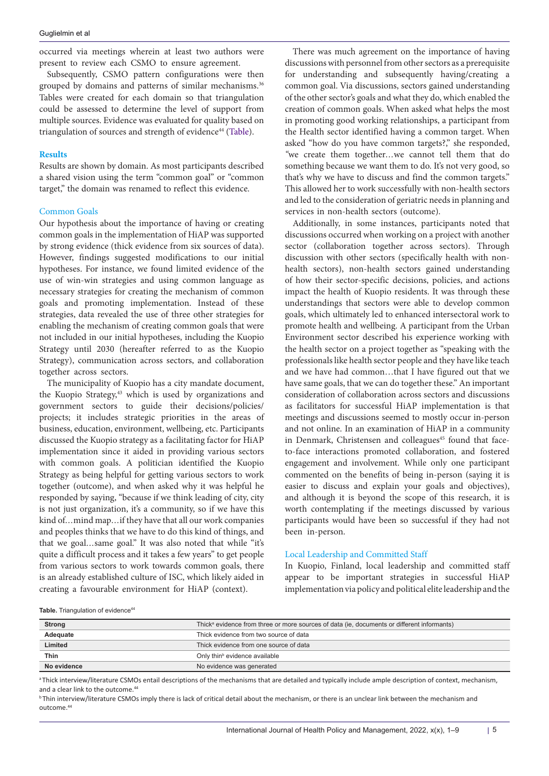occurred via meetings wherein at least two authors were present to review each CSMO to ensure agreement.

Subsequently, CSMO pattern configurations were then grouped by domains and patterns of similar mechanisms.<sup>36</sup> Tables were created for each domain so that triangulation could be assessed to determine the level of support from multiple sources. Evidence was evaluated for quality based on triangulation of sources and strength of evidence<sup>44</sup> ([Table\)](#page-4-0).

#### **Results**

Results are shown by domain. As most participants described a shared vision using the term "common goal" or "common target," the domain was renamed to reflect this evidence.

#### Common Goals

Our hypothesis about the importance of having or creating common goals in the implementation of HiAP was supported by strong evidence (thick evidence from six sources of data). However, findings suggested modifications to our initial hypotheses. For instance, we found limited evidence of the use of win-win strategies and using common language as necessary strategies for creating the mechanism of common goals and promoting implementation. Instead of these strategies, data revealed the use of three other strategies for enabling the mechanism of creating common goals that were not included in our initial hypotheses, including the Kuopio Strategy until 2030 (hereafter referred to as the Kuopio Strategy), communication across sectors, and collaboration together across sectors.

The municipality of Kuopio has a city mandate document, the Kuopio Strategy,<sup>43</sup> which is used by organizations and government sectors to guide their decisions/policies/ projects; it includes strategic priorities in the areas of business, education, environment, wellbeing, etc. Participants discussed the Kuopio strategy as a facilitating factor for HiAP implementation since it aided in providing various sectors with common goals. A politician identified the Kuopio Strategy as being helpful for getting various sectors to work together (outcome), and when asked why it was helpful he responded by saying, "because if we think leading of city, city is not just organization, it's a community, so if we have this kind of*…*mind map*…*if they have that all our work companies and peoples thinks that we have to do this kind of things, and that we goal*…*same goal." It was also noted that while "it's quite a difficult process and it takes a few years" to get people from various sectors to work towards common goals, there is an already established culture of ISC, which likely aided in creating a favourable environment for HiAP (context).

There was much agreement on the importance of having discussions with personnel from other sectors as a prerequisite for understanding and subsequently having/creating a common goal. Via discussions, sectors gained understanding of the other sector's goals and what they do, which enabled the creation of common goals. When asked what helps the most in promoting good working relationships, a participant from the Health sector identified having a common target. When asked "how do you have common targets?," she responded, *"*we create them together*…*we cannot tell them that do something because we want them to do. It's not very good, so that's why we have to discuss and find the common targets." This allowed her to work successfully with non-health sectors and led to the consideration of geriatric needs in planning and services in non-health sectors (outcome).

Additionally, in some instances, participants noted that discussions occurred when working on a project with another sector (collaboration together across sectors). Through discussion with other sectors (specifically health with nonhealth sectors), non-health sectors gained understanding of how their sector-specific decisions, policies, and actions impact the health of Kuopio residents. It was through these understandings that sectors were able to develop common goals, which ultimately led to enhanced intersectoral work to promote health and wellbeing. A participant from the Urban Environment sector described his experience working with the health sector on a project together as "speaking with the professionals like health sector people and they have like teach and we have had common…that I have figured out that we have same goals, that we can do together these." An important consideration of collaboration across sectors and discussions as facilitators for successful HiAP implementation is that meetings and discussions seemed to mostly occur in-person and not online. In an examination of HiAP in a community in Denmark, Christensen and colleagues<sup>45</sup> found that faceto-face interactions promoted collaboration, and fostered engagement and involvement. While only one participant commented on the benefits of being in-person (saying it is easier to discuss and explain your goals and objectives), and although it is beyond the scope of this research, it is worth contemplating if the meetings discussed by various participants would have been so successful if they had not been in-person.

#### Local Leadership and Committed Staff

In Kuopio, Finland, local leadership and committed staff appear to be important strategies in successful HiAP implementation via policy and political elite leadership and the

<span id="page-4-0"></span>Table. Triangulation of evidence<sup>44</sup>

| <b>Strong</b> | Thick <sup>a</sup> evidence from three or more sources of data (ie, documents or different informants) |
|---------------|--------------------------------------------------------------------------------------------------------|
| Adequate      | Thick evidence from two source of data                                                                 |
| Limited       | Thick evidence from one source of data                                                                 |
| Thin          | Only thin <sup>b</sup> evidence available                                                              |
| No evidence   | No evidence was generated                                                                              |

<sup>a</sup>Thick interview/literature CSMOs entail descriptions of the mechanisms that are detailed and typically include ample description of context, mechanism, and a clear link to the outcome.<sup>44</sup>

**bThin interview/literature CSMOs imply there is lack of critical detail about the mechanism, or there is an unclear link between the mechanism and** outcome.44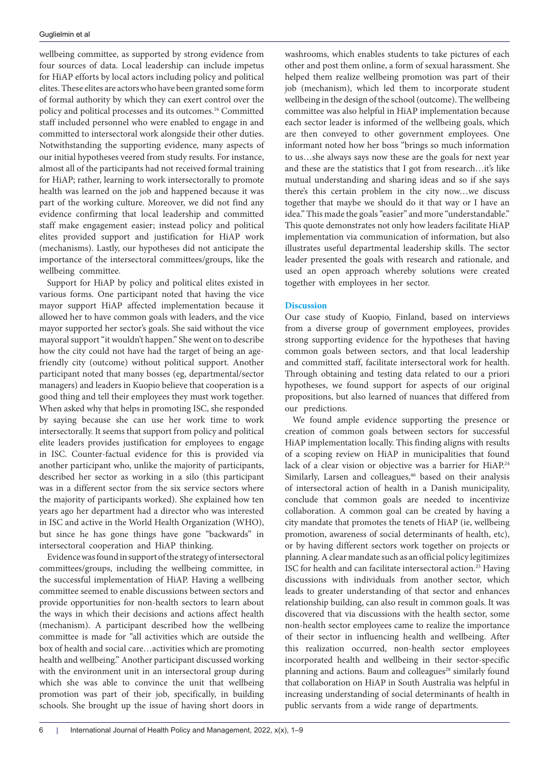wellbeing committee, as supported by strong evidence from four sources of data. Local leadership can include impetus for HiAP efforts by local actors including policy and political elites. These elites are actors who have been granted some form of formal authority by which they can exert control over the policy and political processes and its outcomes.16 Committed staff included personnel who were enabled to engage in and committed to intersectoral work alongside their other duties. Notwithstanding the supporting evidence, many aspects of our initial hypotheses veered from study results. For instance, almost all of the participants had not received formal training for HiAP; rather, learning to work intersectorally to promote health was learned on the job and happened because it was part of the working culture. Moreover, we did not find any evidence confirming that local leadership and committed staff make engagement easier; instead policy and political elites provided support and justification for HiAP work (mechanisms). Lastly, our hypotheses did not anticipate the importance of the intersectoral committees/groups, like the wellbeing committee.

Support for HiAP by policy and political elites existed in various forms. One participant noted that having the vice mayor support HiAP affected implementation because it allowed her to have common goals with leaders, and the vice mayor supported her sector's goals. She said without the vice mayoral support "it wouldn't happen." She went on to describe how the city could not have had the target of being an agefriendly city (outcome) without political support. Another participant noted that many bosses (eg, departmental/sector managers) and leaders in Kuopio believe that cooperation is a good thing and tell their employees they must work together. When asked why that helps in promoting ISC, she responded by saying because she can use her work time to work intersectorally. It seems that support from policy and political elite leaders provides justification for employees to engage in ISC. Counter-factual evidence for this is provided via another participant who, unlike the majority of participants, described her sector as working in a silo (this participant was in a different sector from the six service sectors where the majority of participants worked). She explained how ten years ago her department had a director who was interested in ISC and active in the World Health Organization (WHO), but since he has gone things have gone "backwards" in intersectoral cooperation and HiAP thinking.

Evidence was found in support of the strategy of intersectoral committees/groups, including the wellbeing committee, in the successful implementation of HiAP. Having a wellbeing committee seemed to enable discussions between sectors and provide opportunities for non-health sectors to learn about the ways in which their decisions and actions affect health (mechanism). A participant described how the wellbeing committee is made for "all activities which are outside the box of health and social care…activities which are promoting health and wellbeing." Another participant discussed working with the environment unit in an intersectoral group during which she was able to convince the unit that wellbeing promotion was part of their job, specifically, in building schools. She brought up the issue of having short doors in

washrooms, which enables students to take pictures of each other and post them online, a form of sexual harassment. She helped them realize wellbeing promotion was part of their job (mechanism), which led them to incorporate student wellbeing in the design of the school (outcome). The wellbeing committee was also helpful in HiAP implementation because each sector leader is informed of the wellbeing goals, which are then conveyed to other government employees. One informant noted how her boss "brings so much information to us…she always says now these are the goals for next year and these are the statistics that I got from research…it's like mutual understanding and sharing ideas and so if she says there's this certain problem in the city now…we discuss together that maybe we should do it that way or I have an idea." This made the goals "easier" and more "understandable." This quote demonstrates not only how leaders facilitate HiAP implementation via communication of information, but also illustrates useful departmental leadership skills. The sector leader presented the goals with research and rationale, and used an open approach whereby solutions were created together with employees in her sector.

## **Discussion**

Our case study of Kuopio, Finland, based on interviews from a diverse group of government employees, provides strong supporting evidence for the hypotheses that having common goals between sectors, and that local leadership and committed staff, facilitate intersectoral work for health. Through obtaining and testing data related to our a priori hypotheses, we found support for aspects of our original propositions, but also learned of nuances that differed from our predictions.

We found ample evidence supporting the presence or creation of common goals between sectors for successful HiAP implementation locally. This finding aligns with results of a scoping review on HiAP in municipalities that found lack of a clear vision or objective was a barrier for HiAP.<sup>24</sup> Similarly, Larsen and colleagues,<sup>46</sup> based on their analysis of intersectoral action of health in a Danish municipality, conclude that common goals are needed to incentivize collaboration. A common goal can be created by having a city mandate that promotes the tenets of HiAP (ie, wellbeing promotion, awareness of social determinants of health, etc), or by having different sectors work together on projects or planning. A clear mandate such as an official policy legitimizes ISC for health and can facilitate intersectoral action.<sup>25</sup> Having discussions with individuals from another sector, which leads to greater understanding of that sector and enhances relationship building, can also result in common goals. It was discovered that via discussions with the health sector, some non-health sector employees came to realize the importance of their sector in influencing health and wellbeing. After this realization occurred, non-health sector employees incorporated health and wellbeing in their sector-specific planning and actions. Baum and colleagues<sup>28</sup> similarly found that collaboration on HiAP in South Australia was helpful in increasing understanding of social determinants of health in public servants from a wide range of departments.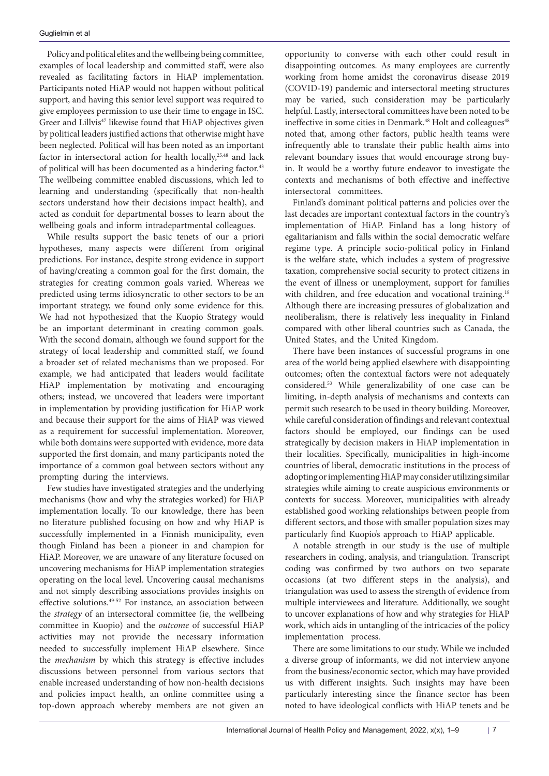Policy and political elites and the wellbeing being committee, examples of local leadership and committed staff, were also revealed as facilitating factors in HiAP implementation. Participants noted HiAP would not happen without political support, and having this senior level support was required to give employees permission to use their time to engage in ISC. Greer and Lillvis<sup>47</sup> likewise found that HiAP objectives given by political leaders justified actions that otherwise might have been neglected. Political will has been noted as an important factor in intersectoral action for health locally,<sup>25,48</sup> and lack of political will has been documented as a hindering factor.<sup>43</sup> The wellbeing committee enabled discussions, which led to learning and understanding (specifically that non-health sectors understand how their decisions impact health), and acted as conduit for departmental bosses to learn about the wellbeing goals and inform intradepartmental colleagues.

While results support the basic tenets of our a priori hypotheses, many aspects were different from original predictions. For instance, despite strong evidence in support of having/creating a common goal for the first domain, the strategies for creating common goals varied. Whereas we predicted using terms idiosyncratic to other sectors to be an important strategy, we found only some evidence for this. We had not hypothesized that the Kuopio Strategy would be an important determinant in creating common goals. With the second domain, although we found support for the strategy of local leadership and committed staff, we found a broader set of related mechanisms than we proposed. For example, we had anticipated that leaders would facilitate HiAP implementation by motivating and encouraging others; instead, we uncovered that leaders were important in implementation by providing justification for HiAP work and because their support for the aims of HiAP was viewed as a requirement for successful implementation. Moreover, while both domains were supported with evidence, more data supported the first domain, and many participants noted the importance of a common goal between sectors without any prompting during the interviews.

Few studies have investigated strategies and the underlying mechanisms (how and why the strategies worked) for HiAP implementation locally. To our knowledge, there has been no literature published focusing on how and why HiAP is successfully implemented in a Finnish municipality, even though Finland has been a pioneer in and champion for HiAP. Moreover, we are unaware of any literature focused on uncovering mechanisms for HiAP implementation strategies operating on the local level. Uncovering causal mechanisms and not simply describing associations provides insights on effective solutions.49-52 For instance, an association between the *strategy* of an intersectoral committee (ie, the wellbeing committee in Kuopio) and the *outcome* of successful HiAP activities may not provide the necessary information needed to successfully implement HiAP elsewhere. Since the *mechanism* by which this strategy is effective includes discussions between personnel from various sectors that enable increased understanding of how non-health decisions and policies impact health, an online committee using a top-down approach whereby members are not given an

opportunity to converse with each other could result in disappointing outcomes. As many employees are currently working from home amidst the coronavirus disease 2019 (COVID-19) pandemic and intersectoral meeting structures may be varied, such consideration may be particularly helpful. Lastly, intersectoral committees have been noted to be ineffective in some cities in Denmark.<sup>48</sup> Holt and colleagues<sup>48</sup> noted that, among other factors, public health teams were infrequently able to translate their public health aims into relevant boundary issues that would encourage strong buyin. It would be a worthy future endeavor to investigate the contexts and mechanisms of both effective and ineffective intersectoral committees.

Finland's dominant political patterns and policies over the last decades are important contextual factors in the country's implementation of HiAP. Finland has a long history of egalitarianism and falls within the social democratic welfare regime type. A principle socio-political policy in Finland is the welfare state, which includes a system of progressive taxation, comprehensive social security to protect citizens in the event of illness or unemployment, support for families with children, and free education and vocational training.<sup>18</sup> Although there are increasing pressures of globalization and neoliberalism, there is relatively less inequality in Finland compared with other liberal countries such as Canada, the United States, and the United Kingdom.

There have been instances of successful programs in one area of the world being applied elsewhere with disappointing outcomes; often the contextual factors were not adequately considered.53 While generalizability of one case can be limiting, in-depth analysis of mechanisms and contexts can permit such research to be used in theory building. Moreover, while careful consideration of findings and relevant contextual factors should be employed, our findings can be used strategically by decision makers in HiAP implementation in their localities. Specifically, municipalities in high-income countries of liberal, democratic institutions in the process of adopting or implementing HiAP may consider utilizing similar strategies while aiming to create auspicious environments or contexts for success. Moreover, municipalities with already established good working relationships between people from different sectors, and those with smaller population sizes may particularly find Kuopio's approach to HiAP applicable.

A notable strength in our study is the use of multiple researchers in coding, analysis, and triangulation. Transcript coding was confirmed by two authors on two separate occasions (at two different steps in the analysis), and triangulation was used to assess the strength of evidence from multiple interviewees and literature. Additionally, we sought to uncover explanations of how and why strategies for HiAP work, which aids in untangling of the intricacies of the policy implementation process.

There are some limitations to our study. While we included a diverse group of informants, we did not interview anyone from the business/economic sector, which may have provided us with different insights. Such insights may have been particularly interesting since the finance sector has been noted to have ideological conflicts with HiAP tenets and be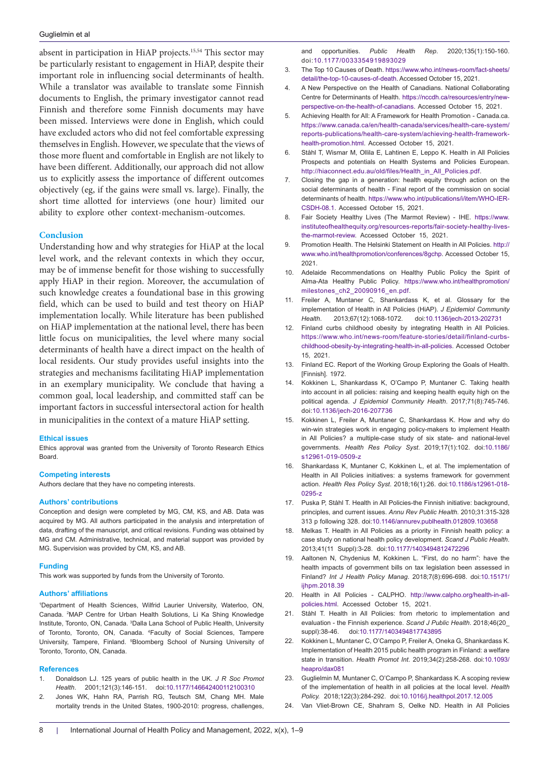absent in participation in HiAP projects.15,54 This sector may be particularly resistant to engagement in HiAP, despite their important role in influencing social determinants of health. While a translator was available to translate some Finnish documents to English, the primary investigator cannot read Finnish and therefore some Finnish documents may have been missed. Interviews were done in English, which could have excluded actors who did not feel comfortable expressing themselves in English. However, we speculate that the views of those more fluent and comfortable in English are not likely to have been different. Additionally, our approach did not allow us to explicitly assess the importance of different outcomes objectively (eg, if the gains were small vs. large). Finally, the short time allotted for interviews (one hour) limited our ability to explore other context-mechanism-outcomes.

## **Conclusion**

Understanding how and why strategies for HiAP at the local level work, and the relevant contexts in which they occur, may be of immense benefit for those wishing to successfully apply HiAP in their region. Moreover, the accumulation of such knowledge creates a foundational base in this growing field, which can be used to build and test theory on HiAP implementation locally. While literature has been published on HiAP implementation at the national level, there has been little focus on municipalities, the level where many social determinants of health have a direct impact on the health of local residents. Our study provides useful insights into the strategies and mechanisms facilitating HiAP implementation in an exemplary municipality. We conclude that having a common goal, local leadership, and committed staff can be important factors in successful intersectoral action for health in municipalities in the context of a mature HiAP setting.

#### **Ethical issues**

Ethics approval was granted from the University of Toronto Research Ethics Board.

#### **Competing interests**

Authors declare that they have no competing interests.

#### **Authors' contributions**

Conception and design were completed by MG, CM, KS, and AB. Data was acquired by MG. All authors participated in the analysis and interpretation of data, drafting of the manuscript, and critical revisions. Funding was obtained by MG and CM. Administrative, technical, and material support was provided by MG. Supervision was provided by CM, KS, and AB.

#### **Funding**

This work was supported by funds from the University of Toronto.

#### **Authors' affiliations**

1 Department of Health Sciences, Wilfrid Laurier University, Waterloo, ON, Canada. 2 MAP Centre for Urban Health Solutions, Li Ka Shing Knowledge Institute, Toronto, ON, Canada. <sup>3</sup>Dalla Lana School of Public Health, University of Toronto, Toronto, ON, Canada. 4 Faculty of Social Sciences, Tampere University, Tampere, Finland. <sup>5</sup>Bloomberg School of Nursing University of Toronto, Toronto, ON, Canada.

#### **References**

- 1. Donaldson LJ. 125 years of public health in the UK. *J R Soc Promot Health*. 2001;121(3):146-151. doi[:10.1177/146642400112100310](https://doi.org/10.1177/146642400112100310)
- 2. Jones WK, Hahn RA, Parrish RG, Teutsch SM, Chang MH. Male mortality trends in the United States, 1900-2010: progress, challenges,

and opportunities. *Public Health Rep*. 2020;135(1):150-160. doi:[10.1177/0033354919893029](https://doi.org/10.1177/0033354919893029)

- 3. The Top 10 Causes of Death. [https://www.who.int/news-room/fact-sheets/](https://www.who.int/news-room/fact-sheets/detail/the-top-10-causes-of-death) [detail/the-top-10-causes-of-death](https://www.who.int/news-room/fact-sheets/detail/the-top-10-causes-of-death). Accessed October 15, 2021.
- 4. A New Perspective on the Health of Canadians. National Collaborating Centre for Determinants of Health. [https://nccdh.ca/resources/entry/new](https://nccdh.ca/resources/entry/new-perspective-on-the-health-of-canadians)[perspective-on-the-health-of-canadians.](https://nccdh.ca/resources/entry/new-perspective-on-the-health-of-canadians) Accessed October 15, 2021.
- 5. Achieving Health for All: A Framework for Health Promotion Canada.ca. [https://www.canada.ca/en/health-canada/services/health-care-system/](https://www.canada.ca/en/health-canada/services/health-care-system/reports-publications/health-care-system/achieving-health-framework-health-promotion.html) [reports-publications/health-care-system/achieving-health-framework](https://www.canada.ca/en/health-canada/services/health-care-system/reports-publications/health-care-system/achieving-health-framework-health-promotion.html)[health-promotion.html.](https://www.canada.ca/en/health-canada/services/health-care-system/reports-publications/health-care-system/achieving-health-framework-health-promotion.html) Accessed October 15, 2021.
- 6. Ståhl T, Wismar M, Ollila E, Lahtinen E, Leppo K. Health in All Policies Prospects and potentials on Health Systems and Policies European. [http://hiaconnect.edu.au/old/files/Health\\_in\\_All\\_Policies.pdf](http://hiaconnect.edu.au/old/files/Health_in_All_Policies.pdf).
- 7. Closing the gap in a generation: health equity through action on the social determinants of health - Final report of the commission on social determinants of health. [https://www.who.int/publications/i/item/WHO-IER-](https://www.who.int/publications/i/item/WHO-IER-CSDH-08.1)[CSDH-08.1.](https://www.who.int/publications/i/item/WHO-IER-CSDH-08.1) Accessed October 15, 2021.
- 8. Fair Society Healthy Lives (The Marmot Review) IHE. [https://www.](https://www.instituteofhealthequity.org/resources-reports/fair-society-healthy-lives-the-marmot-review) [instituteofhealthequity.org/resources-reports/fair-society-healthy-lives](https://www.instituteofhealthequity.org/resources-reports/fair-society-healthy-lives-the-marmot-review)[the-marmot-review.](https://www.instituteofhealthequity.org/resources-reports/fair-society-healthy-lives-the-marmot-review) Accessed October 15, 2021.
- 9. Promotion Health. The Helsinki Statement on Health in All Policies. [http://](http://www.who.int/healthpromotion/conferences/8gchp) [www.who.int/healthpromotion/conferences/8gchp](http://www.who.int/healthpromotion/conferences/8gchp). Accessed October 15, 2021.
- 10. Adelaide Recommendations on Healthy Public Policy the Spirit of Alma-Ata Healthy Public Policy. [https://www.who.int/healthpromotion/](https://www.who.int/healthpromotion/milestones_ch2_20090916_en.pdf) [milestones\\_ch2\\_20090916\\_en.pdf.](https://www.who.int/healthpromotion/milestones_ch2_20090916_en.pdf)
- 11. Freiler A, Muntaner C, Shankardass K, et al. Glossary for the implementation of Health in All Policies (HiAP). *J Epidemiol Community Health*. 2013;67(12):1068-1072. doi[:10.1136/jech-2013-202731](https://doi.org/10.1136/jech-2013-202731)
- 12. Finland curbs childhood obesity by integrating Health in All Policies. [https://www.who.int/news-room/feature-stories/detail/finland-curbs](https://www.who.int/news-room/feature-stories/detail/finland-curbs-childhood-obesity-by-integrating-health-in-all-policies)[childhood-obesity-by-integrating-health-in-all-policies](https://www.who.int/news-room/feature-stories/detail/finland-curbs-childhood-obesity-by-integrating-health-in-all-policies). Accessed October 15, 2021.
- 13. Finland EC. Report of the Working Group Exploring the Goals of Health. [Finnish]. 1972.
- 14. Kokkinen L, Shankardass K, O'Campo P, Muntaner C. Taking health into account in all policies: raising and keeping health equity high on the political agenda. *J Epidemiol Community Health*. 2017;71(8):745-746. doi:[10.1136/jech-2016-207736](https://doi.org/10.1136/jech-2016-207736)
- 15. Kokkinen L, Freiler A, Muntaner C, Shankardass K. How and why do win-win strategies work in engaging policy-makers to implement Health in All Policies? a multiple-case study of six state- and national-level governments. *Health Res Policy Syst*. 2019;17(1):102. doi[:10.1186/](https://doi.org/10.1186/s12961-019-0509-z) [s12961-019-0509-z](https://doi.org/10.1186/s12961-019-0509-z)
- 16. Shankardass K, Muntaner C, Kokkinen L, et al. The implementation of Health in All Policies initiatives: a systems framework for government action. *Health Res Policy Syst*. 2018;16(1):26. doi:[10.1186/s12961-018-](https://doi.org/10.1186/s12961-018-0295-z) [0295-z](https://doi.org/10.1186/s12961-018-0295-z)
- 17. Puska P, Ståhl T. Health in All Policies-the Finnish initiative: background, principles, and current issues. *Annu Rev Public Health*. 2010;31:315-328 313 p following 328. doi:[10.1146/annurev.publhealth.012809.103658](https://doi.org/10.1146/annurev.publhealth.012809.103658)
- 18. Melkas T. Health in All Policies as a priority in Finnish health policy: a case study on national health policy development. *Scand J Public Health*. 2013;41(11 Suppl):3-28. doi[:10.1177/1403494812472296](https://doi.org/10.1177/1403494812472296)
- 19. Aaltonen N, Chydenius M, Kokkinen L. "First, do no harm": have the health impacts of government bills on tax legislation been assessed in Finland? *Int J Health Policy Manag*. 2018;7(8):696-698. doi:[10.15171/](https://doi.org/10.15171/ijhpm.2018.39) iihpm.2018.39
- 20. Health in All Policies CALPHO. [http://www.calpho.org/health-in-all](http://www.calpho.org/health-in-all-policies.html)[policies.html](http://www.calpho.org/health-in-all-policies.html). Accessed October 15, 2021.
- 21. Ståhl T. Health in All Policies: from rhetoric to implementation and evaluation - the Finnish experience. *Scand J Public Health*. 2018;46(20\_ suppl):38-46. doi:[10.1177/1403494817743895](https://doi.org/10.1177/1403494817743895)
- 22. Kokkinen L, Muntaner C, O'Campo P, Freiler A, Oneka G, Shankardass K. Implementation of Health 2015 public health program in Finland: a welfare state in transition. *Health Promot Int*. 2019;34(2):258-268. doi:[10.1093/](https://doi.org/10.1093/heapro/dax081) [heapro/dax081](https://doi.org/10.1093/heapro/dax081)
- 23. Guglielmin M, Muntaner C, O'Campo P, Shankardass K. A scoping review of the implementation of health in all policies at the local level. *Health Policy.* 2018;122(3):284-292. doi[:10.1016/j.healthpol.2017.12.005](https://doi.org/10.1016/j.healthpol.2017.12.005 )
- Van Vliet-Brown CE, Shahram S, Oelke ND. Health in All Policies